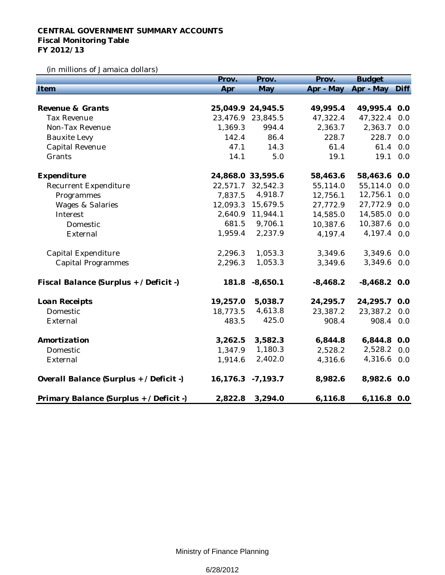## **CENTRAL GOVERNMENT SUMMARY ACCOUNTS Fiscal Monitoring Table FY 2012/13**

(in millions of Jamaica dollars)

|                                         | Prov.    | Prov.             | Prov.      | <b>Budget</b>       |      |
|-----------------------------------------|----------|-------------------|------------|---------------------|------|
| Item                                    | Apr      | May               |            | Apr - May Apr - May | Diff |
|                                         |          |                   |            |                     |      |
| Revenue & Grants                        |          | 25,049.9 24,945.5 | 49,995.4   | 49,995.4 0.0        |      |
| <b>Tax Revenue</b>                      |          | 23,476.9 23,845.5 | 47,322.4   | 47,322.4            | 0.0  |
| Non-Tax Revenue                         | 1,369.3  | 994.4             | 2,363.7    | 2,363.7             | 0.0  |
| <b>Bauxite Levy</b>                     | 142.4    | 86.4              | 228.7      | 228.7               | 0.0  |
| Capital Revenue                         | 47.1     | 14.3              | 61.4       | 61.4                | 0.0  |
| Grants                                  | 14.1     | 5.0               | 19.1       | 19.1                | 0.0  |
| Expenditure                             |          | 24,868.0 33,595.6 | 58,463.6   | 58,463.6            | 0.0  |
| Recurrent Expenditure                   | 22,571.7 | 32,542.3          | 55,114.0   | 55,114.0            | 0.0  |
| Programmes                              | 7,837.5  | 4,918.7           | 12,756.1   | 12,756.1            | 0.0  |
| <b>Wages &amp; Salaries</b>             | 12,093.3 | 15,679.5          | 27,772.9   | 27,772.9            | 0.0  |
| Interest                                | 2,640.9  | 11,944.1          | 14,585.0   | 14,585.0            | 0.0  |
| Domestic                                | 681.5    | 9,706.1           | 10,387.6   | 10,387.6            | 0.0  |
| External                                | 1,959.4  | 2,237.9           | 4,197.4    | 4,197.4             | 0.0  |
| Capital Expenditure                     | 2,296.3  | 1,053.3           | 3,349.6    | 3,349.6             | 0.0  |
| <b>Capital Programmes</b>               | 2,296.3  | 1,053.3           | 3,349.6    | 3,349.6             | 0.0  |
| Fiscal Balance (Surplus + / Deficit -)  | 181.8    | $-8,650.1$        | $-8,468.2$ | $-8,468.2$ 0.0      |      |
| Loan Receipts                           | 19,257.0 | 5,038.7           | 24,295.7   | 24,295.7            | 0.0  |
| Domestic                                | 18,773.5 | 4,613.8           | 23,387.2   | 23,387.2            | 0.0  |
| External                                | 483.5    | 425.0             | 908.4      | 908.4               | 0.0  |
| Amortization                            | 3,262.5  | 3,582.3           | 6,844.8    | 6,844.8 0.0         |      |
| Domestic                                | 1,347.9  | 1,180.3           | 2,528.2    | 2,528.2             | 0.0  |
| External                                | 1,914.6  | 2,402.0           | 4,316.6    | 4,316.6 0.0         |      |
| Overall Balance (Surplus + / Deficit -) | 16,176.3 | $-7,193.7$        | 8,982.6    | 8,982.6 0.0         |      |
| Primary Balance (Surplus + / Deficit -) | 2,822.8  | 3,294.0           | 6,116.8    | 6,116.8 0.0         |      |